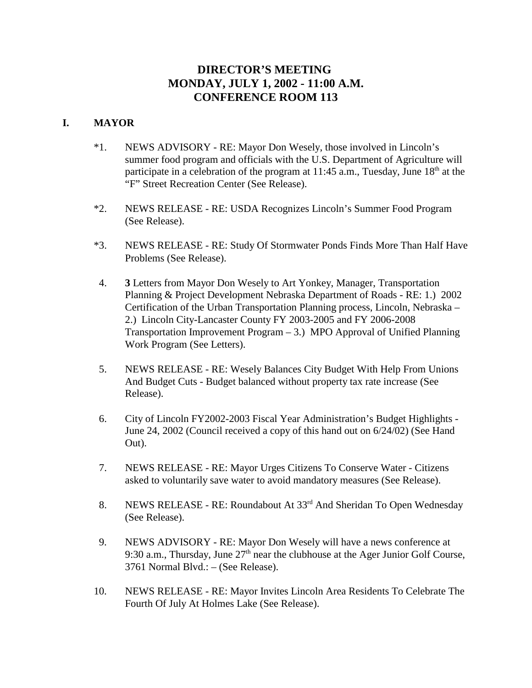# **DIRECTOR'S MEETING MONDAY, JULY 1, 2002 - 11:00 A.M. CONFERENCE ROOM 113**

## **I. MAYOR**

- \*1. NEWS ADVISORY RE: Mayor Don Wesely, those involved in Lincoln's summer food program and officials with the U.S. Department of Agriculture will participate in a celebration of the program at 11:45 a.m., Tuesday, June  $18<sup>th</sup>$  at the "F" Street Recreation Center (See Release).
- \*2. NEWS RELEASE RE: USDA Recognizes Lincoln's Summer Food Program (See Release).
- \*3. NEWS RELEASE RE: Study Of Stormwater Ponds Finds More Than Half Have Problems (See Release).
- 4. **3** Letters from Mayor Don Wesely to Art Yonkey, Manager, Transportation Planning & Project Development Nebraska Department of Roads - RE: 1.) 2002 Certification of the Urban Transportation Planning process, Lincoln, Nebraska – 2.) Lincoln City-Lancaster County FY 2003-2005 and FY 2006-2008 Transportation Improvement Program – 3.) MPO Approval of Unified Planning Work Program (See Letters).
- 5. NEWS RELEASE RE: Wesely Balances City Budget With Help From Unions And Budget Cuts - Budget balanced without property tax rate increase (See Release).
- 6. City of Lincoln FY2002-2003 Fiscal Year Administration's Budget Highlights June 24, 2002 (Council received a copy of this hand out on 6/24/02) (See Hand Out).
- 7. NEWS RELEASE RE: Mayor Urges Citizens To Conserve Water Citizens asked to voluntarily save water to avoid mandatory measures (See Release).
- 8. NEWS RELEASE RE: Roundabout At 33rd And Sheridan To Open Wednesday (See Release).
- 9. NEWS ADVISORY RE: Mayor Don Wesely will have a news conference at 9:30 a.m., Thursday, June  $27<sup>th</sup>$  near the clubhouse at the Ager Junior Golf Course, 3761 Normal Blvd.: – (See Release).
- 10. NEWS RELEASE RE: Mayor Invites Lincoln Area Residents To Celebrate The Fourth Of July At Holmes Lake (See Release).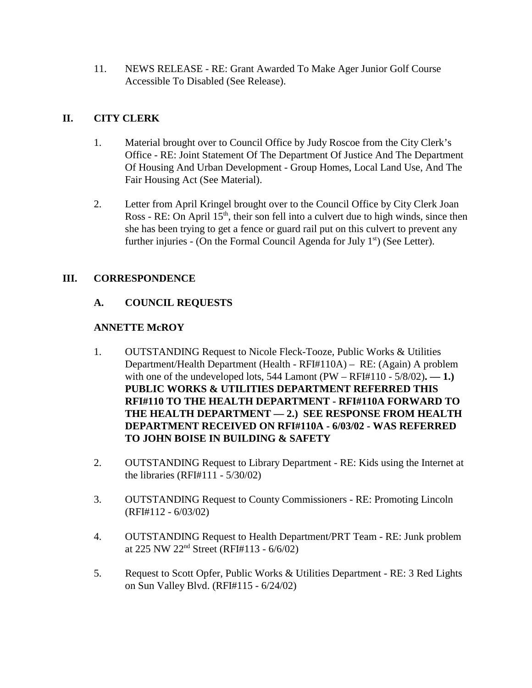11. NEWS RELEASE - RE: Grant Awarded To Make Ager Junior Golf Course Accessible To Disabled (See Release).

## **II. CITY CLERK**

- 1. Material brought over to Council Office by Judy Roscoe from the City Clerk's Office - RE: Joint Statement Of The Department Of Justice And The Department Of Housing And Urban Development - Group Homes, Local Land Use, And The Fair Housing Act (See Material).
- 2. Letter from April Kringel brought over to the Council Office by City Clerk Joan Ross - RE: On April  $15<sup>th</sup>$ , their son fell into a culvert due to high winds, since then she has been trying to get a fence or guard rail put on this culvert to prevent any further injuries - (On the Formal Council Agenda for July  $1<sup>st</sup>$ ) (See Letter).

## **III. CORRESPONDENCE**

## **A. COUNCIL REQUESTS**

## **ANNETTE McROY**

- 1. OUTSTANDING Request to Nicole Fleck-Tooze, Public Works & Utilities Department/Health Department (Health - RFI#110A) – RE: (Again) A problem with one of the undeveloped lots,  $544$  Lamont (PW – RFI#110 -  $5/8/02$ ). — 1.) **PUBLIC WORKS & UTILITIES DEPARTMENT REFERRED THIS RFI#110 TO THE HEALTH DEPARTMENT - RFI#110A FORWARD TO THE HEALTH DEPARTMENT — 2.) SEE RESPONSE FROM HEALTH DEPARTMENT RECEIVED ON RFI#110A - 6/03/02 - WAS REFERRED TO JOHN BOISE IN BUILDING & SAFETY**
- 2. OUTSTANDING Request to Library Department RE: Kids using the Internet at the libraries (RFI#111 - 5/30/02)
- 3. OUTSTANDING Request to County Commissioners RE: Promoting Lincoln (RFI#112 - 6/03/02)
- 4. OUTSTANDING Request to Health Department/PRT Team RE: Junk problem at 225 NW 22nd Street (RFI#113 - 6/6/02)
- 5. Request to Scott Opfer, Public Works & Utilities Department RE: 3 Red Lights on Sun Valley Blvd. (RFI#115 - 6/24/02)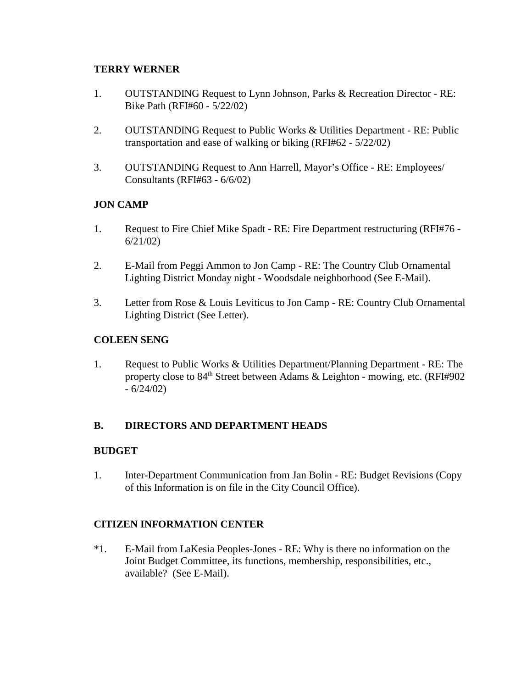## **TERRY WERNER**

- 1. OUTSTANDING Request to Lynn Johnson, Parks & Recreation Director RE: Bike Path (RFI#60 - 5/22/02)
- 2. OUTSTANDING Request to Public Works & Utilities Department RE: Public transportation and ease of walking or biking (RFI#62 - 5/22/02)
- 3. OUTSTANDING Request to Ann Harrell, Mayor's Office RE: Employees/ Consultants (RFI#63 - 6/6/02)

## **JON CAMP**

- 1. Request to Fire Chief Mike Spadt RE: Fire Department restructuring (RFI#76 6/21/02)
- 2. E-Mail from Peggi Ammon to Jon Camp RE: The Country Club Ornamental Lighting District Monday night - Woodsdale neighborhood (See E-Mail).
- 3. Letter from Rose & Louis Leviticus to Jon Camp RE: Country Club Ornamental Lighting District (See Letter).

## **COLEEN SENG**

1. Request to Public Works & Utilities Department/Planning Department - RE: The property close to 84<sup>th</sup> Street between Adams & Leighton - mowing, etc. (RFI#902)  $-6/24/02$ 

## **B. DIRECTORS AND DEPARTMENT HEADS**

## **BUDGET**

1. Inter-Department Communication from Jan Bolin - RE: Budget Revisions (Copy of this Information is on file in the City Council Office).

## **CITIZEN INFORMATION CENTER**

\*1. E-Mail from LaKesia Peoples-Jones - RE: Why is there no information on the Joint Budget Committee, its functions, membership, responsibilities, etc., available? (See E-Mail).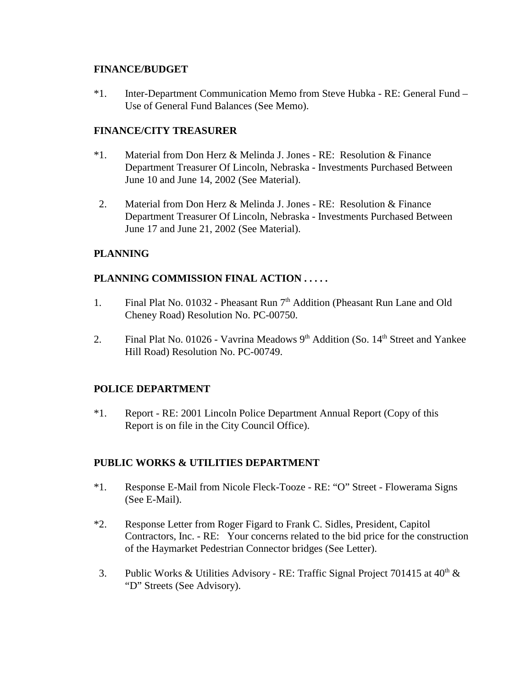### **FINANCE/BUDGET**

\*1. Inter-Department Communication Memo from Steve Hubka - RE: General Fund – Use of General Fund Balances (See Memo).

#### **FINANCE/CITY TREASURER**

- \*1. Material from Don Herz & Melinda J. Jones RE: Resolution & Finance Department Treasurer Of Lincoln, Nebraska - Investments Purchased Between June 10 and June 14, 2002 (See Material).
- 2. Material from Don Herz & Melinda J. Jones RE: Resolution & Finance Department Treasurer Of Lincoln, Nebraska - Investments Purchased Between June 17 and June 21, 2002 (See Material).

## **PLANNING**

#### **PLANNING COMMISSION FINAL ACTION . . . . .**

- 1. Final Plat No. 01032 Pheasant Run  $7<sup>th</sup>$  Addition (Pheasant Run Lane and Old Cheney Road) Resolution No. PC-00750.
- 2. Final Plat No. 01026 Vavrina Meadows  $9<sup>th</sup>$  Addition (So. 14<sup>th</sup> Street and Yankee Hill Road) Resolution No. PC-00749.

## **POLICE DEPARTMENT**

\*1. Report - RE: 2001 Lincoln Police Department Annual Report (Copy of this Report is on file in the City Council Office).

#### **PUBLIC WORKS & UTILITIES DEPARTMENT**

- \*1. Response E-Mail from Nicole Fleck-Tooze RE: "O" Street Flowerama Signs (See E-Mail).
- \*2. Response Letter from Roger Figard to Frank C. Sidles, President, Capitol Contractors, Inc. - RE: Your concerns related to the bid price for the construction of the Haymarket Pedestrian Connector bridges (See Letter).
- 3. Public Works & Utilities Advisory RE: Traffic Signal Project 701415 at  $40^{\text{th}}$  & "D" Streets (See Advisory).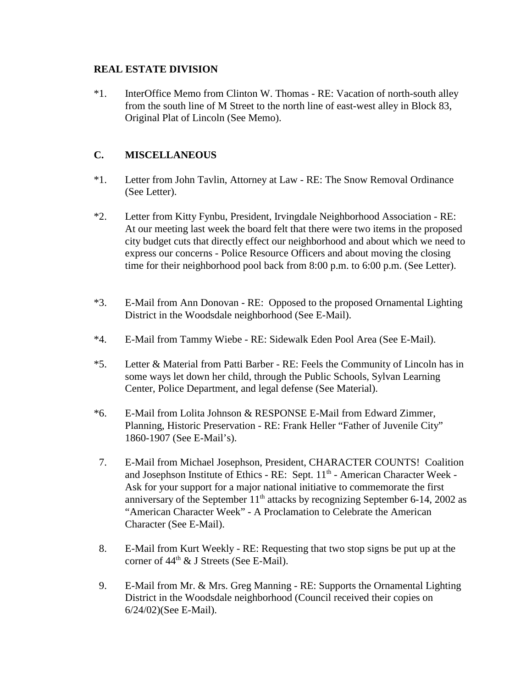### **REAL ESTATE DIVISION**

\*1. InterOffice Memo from Clinton W. Thomas - RE: Vacation of north-south alley from the south line of M Street to the north line of east-west alley in Block 83, Original Plat of Lincoln (See Memo).

## **C. MISCELLANEOUS**

- \*1. Letter from John Tavlin, Attorney at Law RE: The Snow Removal Ordinance (See Letter).
- \*2. Letter from Kitty Fynbu, President, Irvingdale Neighborhood Association RE: At our meeting last week the board felt that there were two items in the proposed city budget cuts that directly effect our neighborhood and about which we need to express our concerns - Police Resource Officers and about moving the closing time for their neighborhood pool back from 8:00 p.m. to 6:00 p.m. (See Letter).
- \*3. E-Mail from Ann Donovan RE: Opposed to the proposed Ornamental Lighting District in the Woodsdale neighborhood (See E-Mail).
- \*4. E-Mail from Tammy Wiebe RE: Sidewalk Eden Pool Area (See E-Mail).
- \*5. Letter & Material from Patti Barber RE: Feels the Community of Lincoln has in some ways let down her child, through the Public Schools, Sylvan Learning Center, Police Department, and legal defense (See Material).
- \*6. E-Mail from Lolita Johnson & RESPONSE E-Mail from Edward Zimmer, Planning, Historic Preservation - RE: Frank Heller "Father of Juvenile City" 1860-1907 (See E-Mail's).
- 7. E-Mail from Michael Josephson, President, CHARACTER COUNTS! Coalition and Josephson Institute of Ethics - RE: Sept. 11<sup>th</sup> - American Character Week -Ask for your support for a major national initiative to commemorate the first anniversary of the September  $11<sup>th</sup>$  attacks by recognizing September 6-14, 2002 as "American Character Week" - A Proclamation to Celebrate the American Character (See E-Mail).
- 8. E-Mail from Kurt Weekly RE: Requesting that two stop signs be put up at the corner of  $44<sup>th</sup>$  & J Streets (See E-Mail).
- 9. E-Mail from Mr. & Mrs. Greg Manning RE: Supports the Ornamental Lighting District in the Woodsdale neighborhood (Council received their copies on 6/24/02)(See E-Mail).